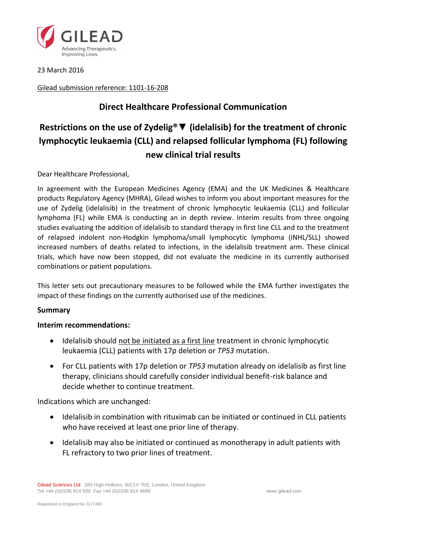

23 March 2016

Gilead submission reference: 1101-16-208

# **Direct Healthcare Professional Communication**

# **Restrictions on the use of Zydelig®**▼ **(idelalisib) for the treatment of chronic lymphocytic leukaemia (CLL) and relapsed follicular lymphoma (FL) following new clinical trial results**

Dear Healthcare Professional,

In agreement with the European Medicines Agency (EMA) and the UK Medicines & Healthcare products Regulatory Agency (MHRA), Gilead wishes to inform you about important measures for the use of Zydelig (idelalisib) in the treatment of chronic lymphocytic leukaemia (CLL) and follicular lymphoma (FL) while EMA is conducting an in depth review. Interim results from three ongoing studies evaluating the addition of idelalisib to standard therapy in first line CLL and to the treatment of relapsed indolent non-Hodgkin lymphoma/small lymphocytic lymphoma (iNHL/SLL) showed increased numbers of deaths related to infections, in the idelalisib treatment arm. These clinical trials, which have now been stopped, did not evaluate the medicine in its currently authorised combinations or patient populations.

This letter sets out precautionary measures to be followed while the EMA further investigates the impact of these findings on the currently authorised use of the medicines.

# **Summary**

#### **Interim recommendations:**

- Idelalisib should not be initiated as a first line treatment in chronic lymphocytic leukaemia (CLL) patients with 17p deletion or *TP53* mutation.
- For CLL patients with 17p deletion or *TP53* mutation already on idelalisib as first line therapy, clinicians should carefully consider individual benefit-risk balance and decide whether to continue treatment.

Indications which are unchanged:

- Idelalisib in combination with rituximab can be initiated or continued in CLL patients who have received at least one prior line of therapy.
- Idelalisib may also be initiated or continued as monotherapy in adult patients with FL refractory to two prior lines of treatment.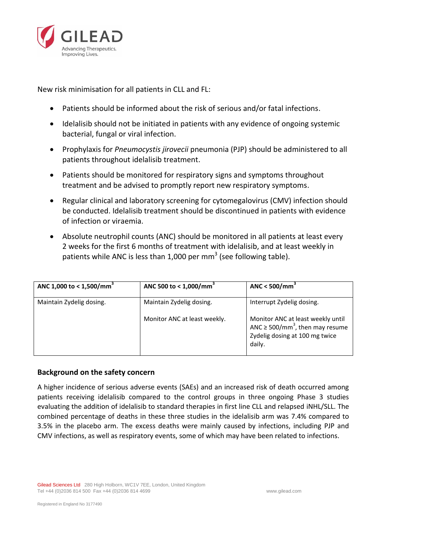

New risk minimisation for all patients in CLL and FL:

- Patients should be informed about the risk of serious and/or fatal infections.
- Idelalisib should not be initiated in patients with any evidence of ongoing systemic bacterial, fungal or viral infection.
- Prophylaxis for *Pneumocystis jirovecii* pneumonia (PJP) should be administered to all patients throughout idelalisib treatment.
- Patients should be monitored for respiratory signs and symptoms throughout treatment and be advised to promptly report new respiratory symptoms.
- Regular clinical and laboratory screening for cytomegalovirus (CMV) infection should be conducted. Idelalisib treatment should be discontinued in patients with evidence of infection or viraemia.
- Absolute neutrophil counts (ANC) should be monitored in all patients at least every 2 weeks for the first 6 months of treatment with idelalisib, and at least weekly in patients while ANC is less than 1,000 per mm<sup>3</sup> (see following table).

| ANC 1,000 to < 1,500/mm <sup>3</sup> | ANC 500 to < $1,000/mm3$     | ANC < $500/mm3$                                                                                                                   |
|--------------------------------------|------------------------------|-----------------------------------------------------------------------------------------------------------------------------------|
| Maintain Zydelig dosing.             | Maintain Zydelig dosing.     | Interrupt Zydelig dosing.                                                                                                         |
|                                      | Monitor ANC at least weekly. | Monitor ANC at least weekly until<br>ANC $\geq$ 500/mm <sup>3</sup> , then may resume<br>Zydelig dosing at 100 mg twice<br>daily. |

# **Background on the safety concern**

A higher incidence of serious adverse events (SAEs) and an increased risk of death occurred among patients receiving idelalisib compared to the control groups in three ongoing Phase 3 studies evaluating the addition of idelalisib to standard therapies in first line CLL and relapsed iNHL/SLL. The combined percentage of deaths in these three studies in the idelalisib arm was 7.4% compared to 3.5% in the placebo arm. The excess deaths were mainly caused by infections, including PJP and CMV infections, as well as respiratory events, some of which may have been related to infections.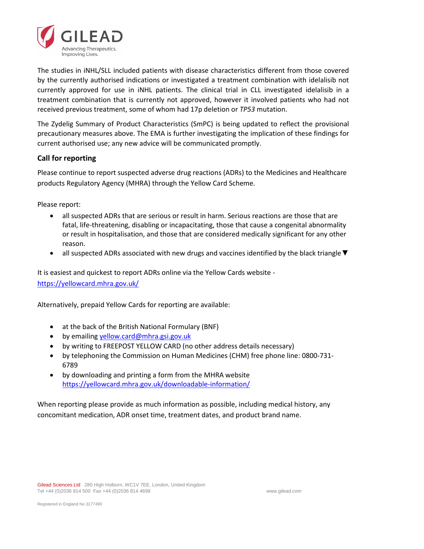

The studies in iNHL/SLL included patients with disease characteristics different from those covered by the currently authorised indications or investigated a treatment combination with idelalisib not currently approved for use in iNHL patients. The clinical trial in CLL investigated idelalisib in a treatment combination that is currently not approved, however it involved patients who had not received previous treatment, some of whom had 17p deletion or *TP53* mutation.

The Zydelig Summary of Product Characteristics (SmPC) is being updated to reflect the provisional precautionary measures above. The EMA is further investigating the implication of these findings for current authorised use; any new advice will be communicated promptly.

# **Call for reporting**

Please continue to report suspected adverse drug reactions (ADRs) to the Medicines and Healthcare products Regulatory Agency (MHRA) through the Yellow Card Scheme.

Please report:

- all suspected ADRs that are serious or result in harm. Serious reactions are those that are fatal, life-threatening, disabling or incapacitating, those that cause a congenital abnormality or result in hospitalisation, and those that are considered medically significant for any other reason.
- all suspected ADRs associated with new drugs and vaccines identified by the black triangle ▼

It is easiest and quickest to report ADRs online via the Yellow Cards website <https://yellowcard.mhra.gov.uk/>

Alternatively, prepaid Yellow Cards for reporting are available:

- at the back of the British National Formulary (BNF)
- by emailing [yellow.card@mhra.gsi.gov.uk](mailto:yellow.card@mhra.gsi.gov.uk)
- by writing to FREEPOST YELLOW CARD (no other address details necessary)
- by telephoning the Commission on Human Medicines (CHM) free phone line: 0800-731- 6789
- by downloading and printing a form from the MHRA website <https://yellowcard.mhra.gov.uk/downloadable-information/>

When reporting please provide as much information as possible, including medical history, any concomitant medication, ADR onset time, treatment dates, and product brand name.